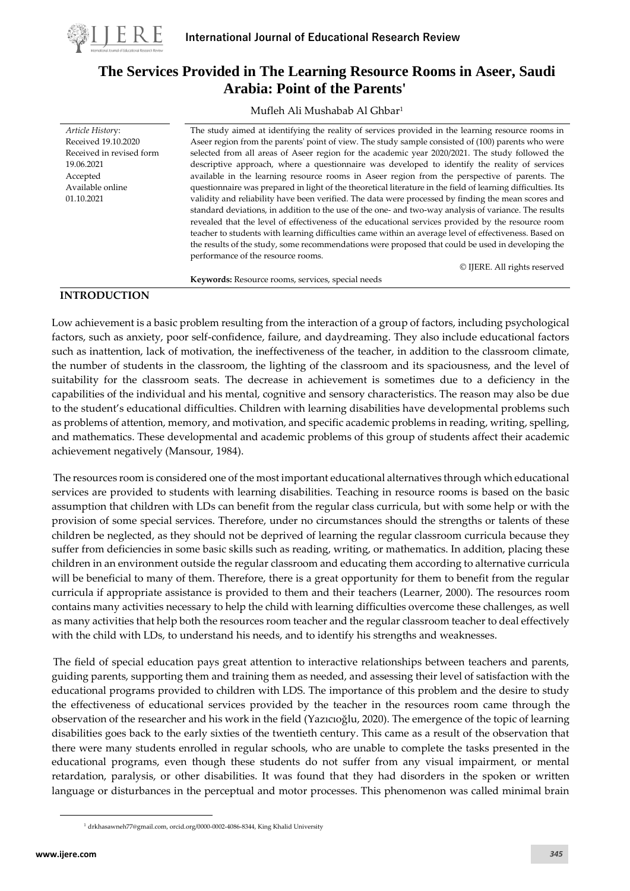

*Article Histor*y: Received 19.10.2020 Received in revised form

19.06.2021 Accepted Available online 01.10.2021

# **The Services Provided in The Learning Resource Rooms in Aseer, Saudi Arabia: Point of the Parents'**

Mufleh Ali Mushabab Al Ghbar<sup>1</sup>

The study aimed at identifying the reality of services provided in the learning resource rooms in Aseer region from the parents' point of view. The study sample consisted of (100) parents who were selected from all areas of Aseer region for the academic year 2020/2021. The study followed the descriptive approach, where a questionnaire was developed to identify the reality of services available in the learning resource rooms in Aseer region from the perspective of parents. The questionnaire was prepared in light of the theoretical literature in the field of learning difficulties. Its validity and reliability have been verified. The data were processed by finding the mean scores and standard deviations, in addition to the use of the one- and two-way analysis of variance. The results revealed that the level of effectiveness of the educational services provided by the resource room teacher to students with learning difficulties came within an average level of effectiveness. Based on the results of the study, some recommendations were proposed that could be used in developing the performance of the resource rooms.

© IJERE. All rights reserved

**Keywords:** Resource rooms, services, special needs

# **INTRODUCTION**

Low achievement is a basic problem resulting from the interaction of a group of factors, including psychological factors, such as anxiety, poor self-confidence, failure, and daydreaming. They also include educational factors such as inattention, lack of motivation, the ineffectiveness of the teacher, in addition to the classroom climate, the number of students in the classroom, the lighting of the classroom and its spaciousness, and the level of suitability for the classroom seats. The decrease in achievement is sometimes due to a deficiency in the capabilities of the individual and his mental, cognitive and sensory characteristics. The reason may also be due to the student's educational difficulties. Children with learning disabilities have developmental problems such as problems of attention, memory, and motivation, and specific academic problems in reading, writing, spelling, and mathematics. These developmental and academic problems of this group of students affect their academic achievement negatively (Mansour, 1984).

The resources room is considered one of the most important educational alternatives through which educational services are provided to students with learning disabilities. Teaching in resource rooms is based on the basic assumption that children with LDs can benefit from the regular class curricula, but with some help or with the provision of some special services. Therefore, under no circumstances should the strengths or talents of these children be neglected, as they should not be deprived of learning the regular classroom curricula because they suffer from deficiencies in some basic skills such as reading, writing, or mathematics. In addition, placing these children in an environment outside the regular classroom and educating them according to alternative curricula will be beneficial to many of them. Therefore, there is a great opportunity for them to benefit from the regular curricula if appropriate assistance is provided to them and their teachers (Learner, 2000). The resources room contains many activities necessary to help the child with learning difficulties overcome these challenges, as well as many activities that help both the resources room teacher and the regular classroom teacher to deal effectively with the child with LDs, to understand his needs, and to identify his strengths and weaknesses.

The field of special education pays great attention to interactive relationships between teachers and parents, guiding parents, supporting them and training them as needed, and assessing their level of satisfaction with the educational programs provided to children with LDS. The importance of this problem and the desire to study the effectiveness of educational services provided by the teacher in the resources room came through the observation of the researcher and his work in the field (Yazıcıoğlu, 2020). The emergence of the topic of learning disabilities goes back to the early sixties of the twentieth century. This came as a result of the observation that there were many students enrolled in regular schools, who are unable to complete the tasks presented in the educational programs, even though these students do not suffer from any visual impairment, or mental retardation, paralysis, or other disabilities. It was found that they had disorders in the spoken or written language or disturbances in the perceptual and motor processes. This phenomenon was called minimal brain

<sup>1</sup> [drkhasawneh77@gmail.com,](mailto:drkhasawneh77@gmail.com) orcid.org/0000-0002-4086-8344, King Khalid University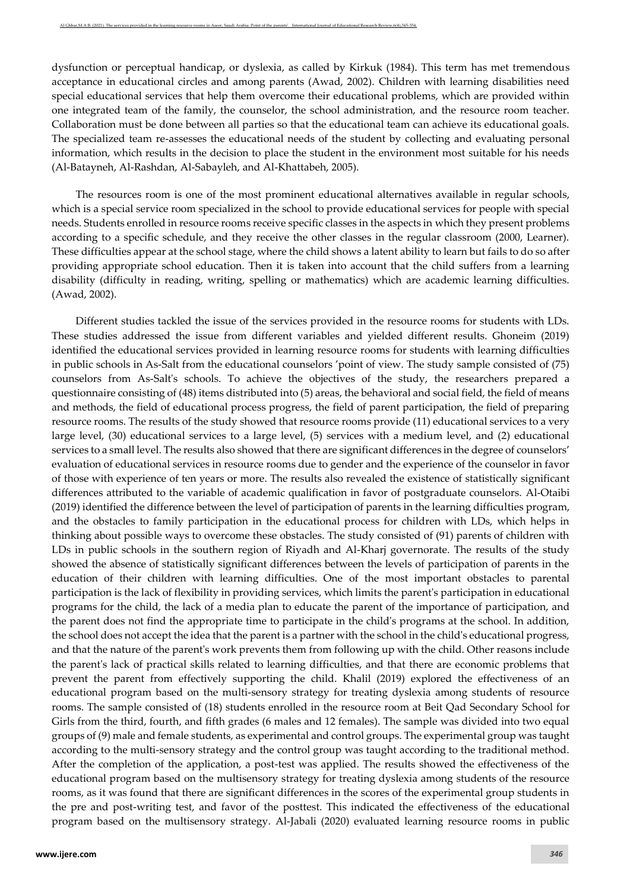dysfunction or perceptual handicap, or dyslexia, as called by Kirkuk (1984). This term has met tremendous acceptance in educational circles and among parents (Awad, 2002). Children with learning disabilities need special educational services that help them overcome their educational problems, which are provided within one integrated team of the family, the counselor, the school administration, and the resource room teacher. Collaboration must be done between all parties so that the educational team can achieve its educational goals. The specialized team re-assesses the educational needs of the student by collecting and evaluating personal information, which results in the decision to place the student in the environment most suitable for his needs (Al-Batayneh, Al-Rashdan, Al-Sabayleh, and Al-Khattabeh, 2005).

The resources room is one of the most prominent educational alternatives available in regular schools, which is a special service room specialized in the school to provide educational services for people with special needs. Students enrolled in resource rooms receive specific classes in the aspects in which they present problems according to a specific schedule, and they receive the other classes in the regular classroom (2000, Learner). These difficulties appear at the school stage, where the child shows a latent ability to learn but fails to do so after providing appropriate school education. Then it is taken into account that the child suffers from a learning disability (difficulty in reading, writing, spelling or mathematics) which are academic learning difficulties. (Awad, 2002).

Different studies tackled the issue of the services provided in the resource rooms for students with LDs. These studies addressed the issue from different variables and yielded different results. Ghoneim (2019) identified the educational services provided in learning resource rooms for students with learning difficulties in public schools in As-Salt from the educational counselors 'point of view. The study sample consisted of (75) counselors from As-Salt's schools. To achieve the objectives of the study, the researchers prepared a questionnaire consisting of (48) items distributed into (5) areas, the behavioral and social field, the field of means and methods, the field of educational process progress, the field of parent participation, the field of preparing resource rooms. The results of the study showed that resource rooms provide (11) educational services to a very large level, (30) educational services to a large level, (5) services with a medium level, and (2) educational services to a small level. The results also showed that there are significant differences in the degree of counselors' evaluation of educational services in resource rooms due to gender and the experience of the counselor in favor of those with experience of ten years or more. The results also revealed the existence of statistically significant differences attributed to the variable of academic qualification in favor of postgraduate counselors. Al-Otaibi (2019) identified the difference between the level of participation of parents in the learning difficulties program, and the obstacles to family participation in the educational process for children with LDs, which helps in thinking about possible ways to overcome these obstacles. The study consisted of (91) parents of children with LDs in public schools in the southern region of Riyadh and Al-Kharj governorate. The results of the study showed the absence of statistically significant differences between the levels of participation of parents in the education of their children with learning difficulties. One of the most important obstacles to parental participation is the lack of flexibility in providing services, which limits the parent's participation in educational programs for the child, the lack of a media plan to educate the parent of the importance of participation, and the parent does not find the appropriate time to participate in the child's programs at the school. In addition, the school does not accept the idea that the parent is a partner with the school in the child's educational progress, and that the nature of the parent's work prevents them from following up with the child. Other reasons include the parent's lack of practical skills related to learning difficulties, and that there are economic problems that prevent the parent from effectively supporting the child. Khalil (2019) explored the effectiveness of an educational program based on the multi-sensory strategy for treating dyslexia among students of resource rooms. The sample consisted of (18) students enrolled in the resource room at Beit Qad Secondary School for Girls from the third, fourth, and fifth grades (6 males and 12 females). The sample was divided into two equal groups of (9) male and female students, as experimental and control groups. The experimental group was taught according to the multi-sensory strategy and the control group was taught according to the traditional method. After the completion of the application, a post-test was applied. The results showed the effectiveness of the educational program based on the multisensory strategy for treating dyslexia among students of the resource rooms, as it was found that there are significant differences in the scores of the experimental group students in the pre and post-writing test, and favor of the posttest. This indicated the effectiveness of the educational program based on the multisensory strategy. Al-Jabali (2020) evaluated learning resource rooms in public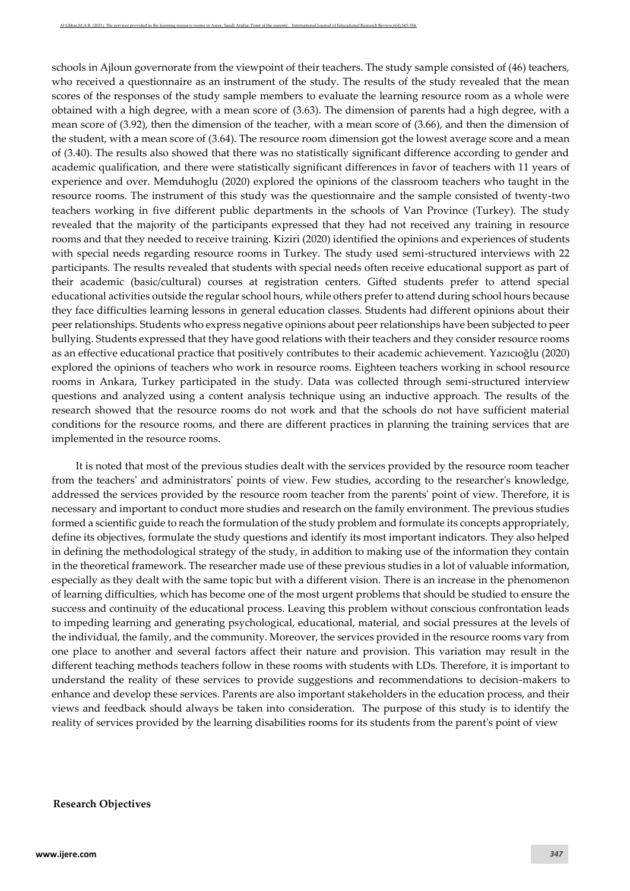schools in Ajloun governorate from the viewpoint of their teachers. The study sample consisted of (46) teachers, who received a questionnaire as an instrument of the study. The results of the study revealed that the mean scores of the responses of the study sample members to evaluate the learning resource room as a whole were obtained with a high degree, with a mean score of (3.63). The dimension of parents had a high degree, with a mean score of (3.92), then the dimension of the teacher, with a mean score of (3.66), and then the dimension of the student, with a mean score of (3.64). The resource room dimension got the lowest average score and a mean of (3.40). The results also showed that there was no statistically significant difference according to gender and academic qualification, and there were statistically significant differences in favor of teachers with 11 years of experience and over. Memduhoglu (2020) explored the opinions of the classroom teachers who taught in the resource rooms. The instrument of this study was the questionnaire and the sample consisted of twenty-two teachers working in five different public departments in the schools of Van Province (Turkey). The study revealed that the majority of the participants expressed that they had not received any training in resource rooms and that they needed to receive training. Kiziri (2020) identified the opinions and experiences of students with special needs regarding resource rooms in Turkey. The study used semi-structured interviews with 22 participants. The results revealed that students with special needs often receive educational support as part of their academic (basic/cultural) courses at registration centers. Gifted students prefer to attend special educational activities outside the regular school hours, while others prefer to attend during school hours because they face difficulties learning lessons in general education classes. Students had different opinions about their peer relationships. Students who express negative opinions about peer relationships have been subjected to peer bullying. Students expressed that they have good relations with their teachers and they consider resource rooms as an effective educational practice that positively contributes to their academic achievement. Yazıcıoğlu (2020) explored the opinions of teachers who work in resource rooms. Eighteen teachers working in school resource rooms in Ankara, Turkey participated in the study. Data was collected through semi-structured interview questions and analyzed using a content analysis technique using an inductive approach. The results of the research showed that the resource rooms do not work and that the schools do not have sufficient material conditions for the resource rooms, and there are different practices in planning the training services that are implemented in the resource rooms.

It is noted that most of the previous studies dealt with the services provided by the resource room teacher from the teachers' and administrators' points of view. Few studies, according to the researcher's knowledge, addressed the services provided by the resource room teacher from the parents' point of view. Therefore, it is necessary and important to conduct more studies and research on the family environment. The previous studies formed a scientific guide to reach the formulation of the study problem and formulate its concepts appropriately, define its objectives, formulate the study questions and identify its most important indicators. They also helped in defining the methodological strategy of the study, in addition to making use of the information they contain in the theoretical framework. The researcher made use of these previous studies in a lot of valuable information, especially as they dealt with the same topic but with a different vision. There is an increase in the phenomenon of learning difficulties, which has become one of the most urgent problems that should be studied to ensure the success and continuity of the educational process. Leaving this problem without conscious confrontation leads to impeding learning and generating psychological, educational, material, and social pressures at the levels of the individual, the family, and the community. Moreover, the services provided in the resource rooms vary from one place to another and several factors affect their nature and provision. This variation may result in the different teaching methods teachers follow in these rooms with students with LDs. Therefore, it is important to understand the reality of these services to provide suggestions and recommendations to decision-makers to enhance and develop these services. Parents are also important stakeholders in the education process, and their views and feedback should always be taken into consideration. The purpose of this study is to identify the reality of services provided by the learning disabilities rooms for its students from the parent's point of view

#### **Research Objectives**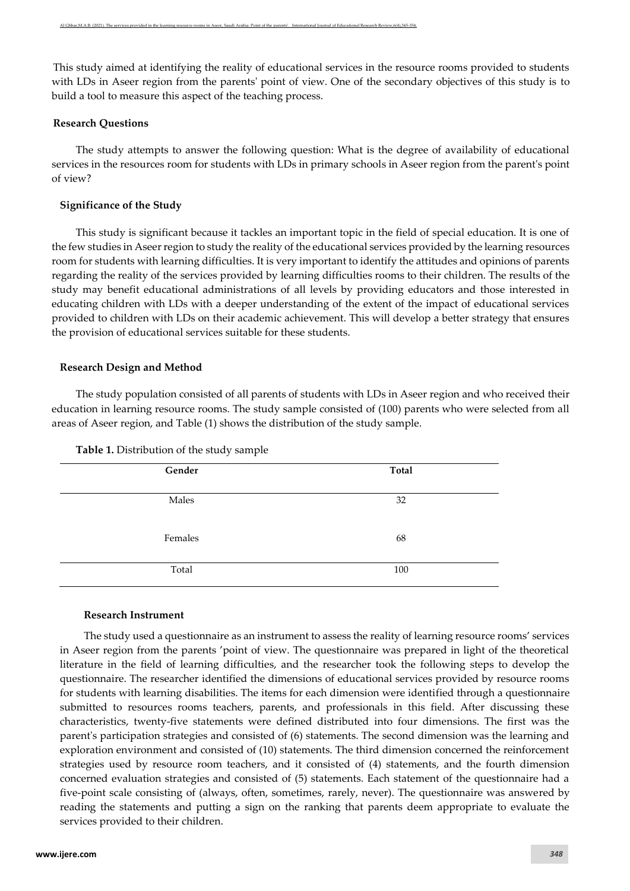This study aimed at identifying the reality of educational services in the resource rooms provided to students with LDs in Aseer region from the parents' point of view. One of the secondary objectives of this study is to build a tool to measure this aspect of the teaching process.

#### **Research Questions**

The study attempts to answer the following question: What is the degree of availability of educational services in the resources room for students with LDs in primary schools in Aseer region from the parent's point of view?

### **Significance of the Study**

This study is significant because it tackles an important topic in the field of special education. It is one of the few studies in Aseer region to study the reality of the educational services provided by the learning resources room for students with learning difficulties. It is very important to identify the attitudes and opinions of parents regarding the reality of the services provided by learning difficulties rooms to their children. The results of the study may benefit educational administrations of all levels by providing educators and those interested in educating children with LDs with a deeper understanding of the extent of the impact of educational services provided to children with LDs on their academic achievement. This will develop a better strategy that ensures the provision of educational services suitable for these students.

#### **Research Design and Method**

The study population consisted of all parents of students with LDs in Aseer region and who received their education in learning resource rooms. The study sample consisted of (100) parents who were selected from all areas of Aseer region, and Table (1) shows the distribution of the study sample.

| Gender  | Total |
|---------|-------|
| Males   | 32    |
| Females | 68    |
| Total   | 100   |

**Table 1.** Distribution of the study sample

#### **Research Instrument**

The study used a questionnaire as an instrument to assess the reality of learning resource rooms' services in Aseer region from the parents 'point of view. The questionnaire was prepared in light of the theoretical literature in the field of learning difficulties, and the researcher took the following steps to develop the questionnaire. The researcher identified the dimensions of educational services provided by resource rooms for students with learning disabilities. The items for each dimension were identified through a questionnaire submitted to resources rooms teachers, parents, and professionals in this field. After discussing these characteristics, twenty-five statements were defined distributed into four dimensions. The first was the parent's participation strategies and consisted of (6) statements. The second dimension was the learning and exploration environment and consisted of (10) statements. The third dimension concerned the reinforcement strategies used by resource room teachers, and it consisted of (4) statements, and the fourth dimension concerned evaluation strategies and consisted of (5) statements. Each statement of the questionnaire had a five-point scale consisting of (always, often, sometimes, rarely, never). The questionnaire was answered by reading the statements and putting a sign on the ranking that parents deem appropriate to evaluate the services provided to their children.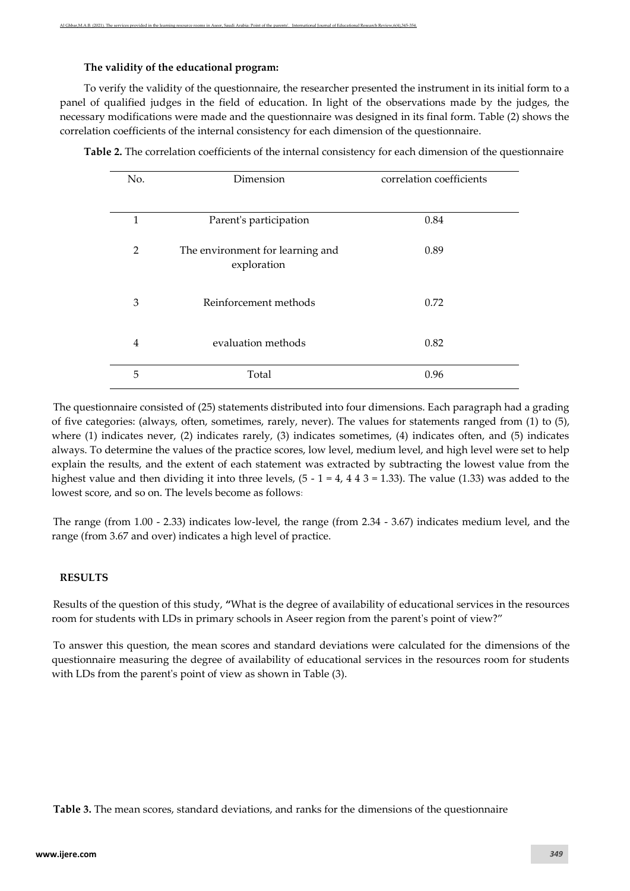### **The validity of the educational program:**

To verify the validity of the questionnaire, the researcher presented the instrument in its initial form to a panel of qualified judges in the field of education. In light of the observations made by the judges, the necessary modifications were made and the questionnaire was designed in its final form. Table (2) shows the correlation coefficients of the internal consistency for each dimension of the questionnaire.

| No.            | Dimension                                       | correlation coefficients |
|----------------|-------------------------------------------------|--------------------------|
| $\mathbf{1}$   | Parent's participation                          | 0.84                     |
| $\overline{2}$ | The environment for learning and<br>exploration | 0.89                     |
| 3              | Reinforcement methods                           | 0.72                     |
| 4              | evaluation methods                              | 0.82                     |
| 5              | Total                                           | 0.96                     |

**Table 2.** The correlation coefficients of the internal consistency for each dimension of the questionnaire

The questionnaire consisted of (25) statements distributed into four dimensions. Each paragraph had a grading of five categories: (always, often, sometimes, rarely, never). The values for statements ranged from (1) to (5), where (1) indicates never, (2) indicates rarely, (3) indicates sometimes, (4) indicates often, and (5) indicates always. To determine the values of the practice scores, low level, medium level, and high level were set to help explain the results, and the extent of each statement was extracted by subtracting the lowest value from the highest value and then dividing it into three levels,  $(5 - 1 = 4, 4, 4, 3 = 1.33)$ . The value (1.33) was added to the lowest score, and so on. The levels become as follows**:**

The range (from 1.00 - 2.33) indicates low-level, the range (from 2.34 - 3.67) indicates medium level, and the range (from 3.67 and over) indicates a high level of practice.

# **RESULTS**

Results of the question of this study, **"**What is the degree of availability of educational services in the resources room for students with LDs in primary schools in Aseer region from the parent's point of view?"

To answer this question, the mean scores and standard deviations were calculated for the dimensions of the questionnaire measuring the degree of availability of educational services in the resources room for students with LDs from the parent's point of view as shown in Table (3).

**Table 3.** The mean scores, standard deviations, and ranks for the dimensions of the questionnaire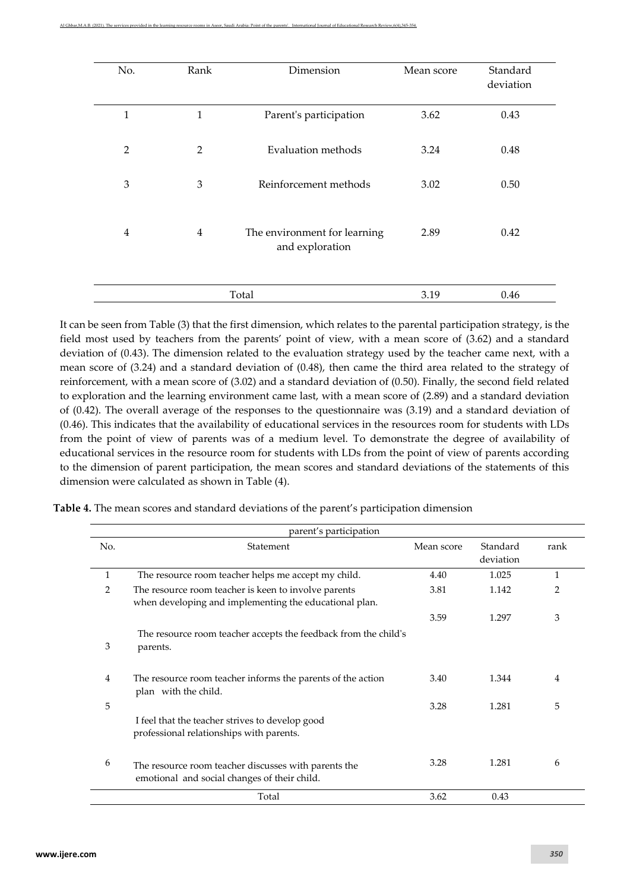| No.            | Rank           | Dimension                                       | Mean score | Standard<br>deviation |  |
|----------------|----------------|-------------------------------------------------|------------|-----------------------|--|
| 1              | $\mathbf{1}$   | Parent's participation                          | 3.62       | 0.43                  |  |
| $\overline{2}$ | $\overline{2}$ | Evaluation methods                              | 3.24       | 0.48                  |  |
| 3              | 3              | Reinforcement methods                           | 3.02       | 0.50                  |  |
| $\overline{4}$ | $\overline{4}$ | The environment for learning<br>and exploration | 2.89       | 0.42                  |  |
|                |                | Total                                           | 3.19       | 0.46                  |  |

It can be seen from Table (3) that the first dimension, which relates to the parental participation strategy, is the field most used by teachers from the parents' point of view, with a mean score of (3.62) and a standard deviation of (0.43). The dimension related to the evaluation strategy used by the teacher came next, with a mean score of (3.24) and a standard deviation of (0.48), then came the third area related to the strategy of reinforcement, with a mean score of (3.02) and a standard deviation of (0.50). Finally, the second field related to exploration and the learning environment came last, with a mean score of (2.89) and a standard deviation of (0.42). The overall average of the responses to the questionnaire was (3.19) and a standard deviation of (0.46). This indicates that the availability of educational services in the resources room for students with LDs from the point of view of parents was of a medium level. To demonstrate the degree of availability of educational services in the resource room for students with LDs from the point of view of parents according to the dimension of parent participation, the mean scores and standard deviations of the statements of this dimension were calculated as shown in Table (4).

|               | parent's participation                                                                                         |            |                       |                |  |  |  |  |
|---------------|----------------------------------------------------------------------------------------------------------------|------------|-----------------------|----------------|--|--|--|--|
| No.           | Statement                                                                                                      | Mean score | Standard<br>deviation | rank           |  |  |  |  |
| 1             | The resource room teacher helps me accept my child.                                                            | 4.40       | 1.025                 | 1              |  |  |  |  |
| $\mathcal{P}$ | The resource room teacher is keen to involve parents<br>when developing and implementing the educational plan. | 3.81       | 1.142                 | $\overline{2}$ |  |  |  |  |
|               |                                                                                                                | 3.59       | 1.297                 | 3              |  |  |  |  |
| 3             | The resource room teacher accepts the feedback from the child's<br>parents.                                    |            |                       |                |  |  |  |  |
| 4             | The resource room teacher informs the parents of the action<br>plan with the child.                            | 3.40       | 1.344                 | 4              |  |  |  |  |
| 5             |                                                                                                                | 3.28       | 1.281                 | 5              |  |  |  |  |
|               | I feel that the teacher strives to develop good<br>professional relationships with parents.                    |            |                       |                |  |  |  |  |
| 6             | The resource room teacher discusses with parents the<br>emotional and social changes of their child.           | 3.28       | 1.281                 | 6              |  |  |  |  |
|               | Total                                                                                                          | 3.62       | 0.43                  |                |  |  |  |  |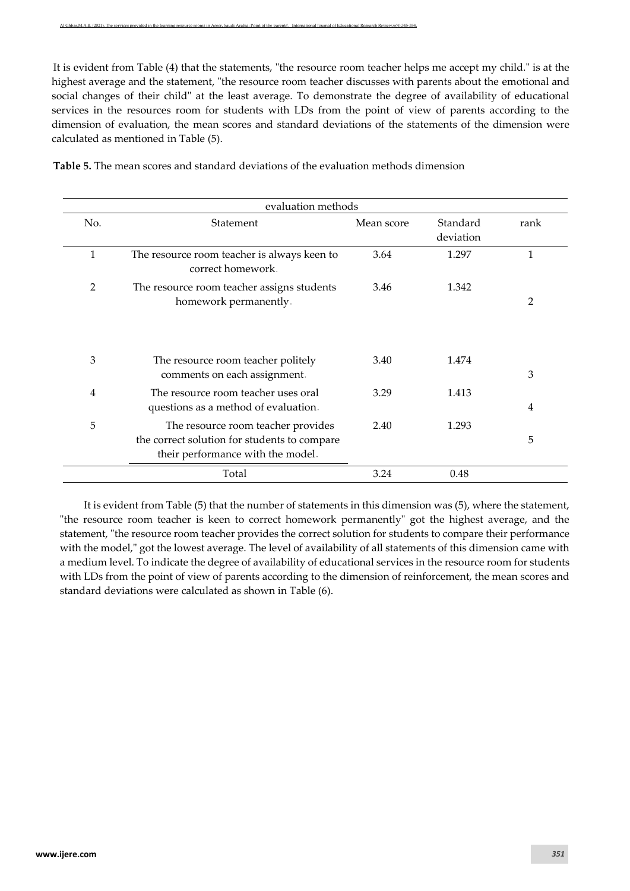It is evident from Table (4) that the statements, "the resource room teacher helps me accept my child." is at the highest average and the statement, "the resource room teacher discusses with parents about the emotional and social changes of their child" at the least average. To demonstrate the degree of availability of educational services in the resources room for students with LDs from the point of view of parents according to the dimension of evaluation, the mean scores and standard deviations of the statements of the dimension were calculated as mentioned in Table (5).

| evaluation methods |                                                                                                                         |            |                       |                |  |  |  |
|--------------------|-------------------------------------------------------------------------------------------------------------------------|------------|-----------------------|----------------|--|--|--|
| No.                | Statement                                                                                                               | Mean score | Standard<br>deviation | rank           |  |  |  |
| 1                  | The resource room teacher is always keen to<br>correct homework.                                                        | 3.64       | 1.297                 | 1              |  |  |  |
| $\overline{2}$     | The resource room teacher assigns students<br>homework permanently.                                                     | 3.46       | 1.342                 | 2              |  |  |  |
| 3                  | The resource room teacher politely<br>comments on each assignment.                                                      | 3.40       | 1.474                 | 3              |  |  |  |
| 4                  | The resource room teacher uses oral<br>questions as a method of evaluation.                                             | 3.29       | 1.413                 | $\overline{4}$ |  |  |  |
| 5                  | The resource room teacher provides<br>the correct solution for students to compare<br>their performance with the model. | 2.40       | 1.293                 | 5              |  |  |  |
|                    | Total                                                                                                                   | 3.24       | 0.48                  |                |  |  |  |

**Table 5.** The mean scores and standard deviations of the evaluation methods dimension

It is evident from Table (5) that the number of statements in this dimension was (5), where the statement, "the resource room teacher is keen to correct homework permanently" got the highest average, and the statement, "the resource room teacher provides the correct solution for students to compare their performance with the model," got the lowest average. The level of availability of all statements of this dimension came with a medium level. To indicate the degree of availability of educational services in the resource room for students with LDs from the point of view of parents according to the dimension of reinforcement, the mean scores and standard deviations were calculated as shown in Table (6).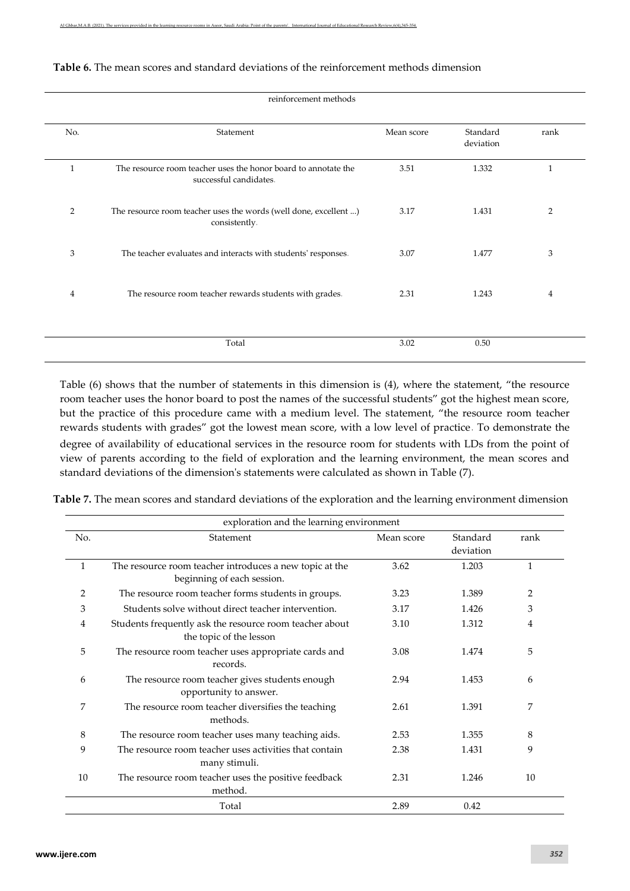| No. | Statement                                                                                | Mean score | Standard<br>deviation | rank           |
|-----|------------------------------------------------------------------------------------------|------------|-----------------------|----------------|
| 1   | The resource room teacher uses the honor board to annotate the<br>successful candidates. | 3.51       | 1.332                 | $\mathbf{1}$   |
| 2   | The resource room teacher uses the words (well done, excellent )<br>consistently.        | 3.17       | 1.431                 | $\overline{2}$ |
| 3   | The teacher evaluates and interacts with students' responses.                            | 3.07       | 1.477                 | 3              |
| 4   | The resource room teacher rewards students with grades.                                  | 2.31       | 1.243                 | 4              |
|     | Total                                                                                    | 3.02       | 0.50                  |                |

### **Table 6.** The mean scores and standard deviations of the reinforcement methods dimension

Table (6) shows that the number of statements in this dimension is (4), where the statement, "the resource room teacher uses the honor board to post the names of the successful students" got the highest mean score, but the practice of this procedure came with a medium level. The statement, "the resource room teacher rewards students with grades" got the lowest mean score, with a low level of practice. To demonstrate the degree of availability of educational services in the resource room for students with LDs from the point of view of parents according to the field of exploration and the learning environment, the mean scores and standard deviations of the dimension's statements were calculated as shown in Table (7).

| Table 7. The mean scores and standard deviations of the exploration and the learning environment dimension |  |  |  |  |  |
|------------------------------------------------------------------------------------------------------------|--|--|--|--|--|
|                                                                                                            |  |  |  |  |  |

|              | exploration and the learning environment                                              |            |                       |                |  |  |  |  |
|--------------|---------------------------------------------------------------------------------------|------------|-----------------------|----------------|--|--|--|--|
| No.          | Statement                                                                             | Mean score | Standard<br>deviation | rank           |  |  |  |  |
| $\mathbf{1}$ | The resource room teacher introduces a new topic at the<br>beginning of each session. | 3.62       | 1.203                 | $\mathbf{1}$   |  |  |  |  |
| 2            | The resource room teacher forms students in groups.                                   | 3.23       | 1.389                 | $\overline{2}$ |  |  |  |  |
| 3            | Students solve without direct teacher intervention.                                   | 3.17       | 1.426                 | 3              |  |  |  |  |
| 4            | Students frequently ask the resource room teacher about<br>the topic of the lesson    | 3.10       | 1.312                 | 4              |  |  |  |  |
| 5            | The resource room teacher uses appropriate cards and<br>records.                      | 3.08       | 1.474                 | 5              |  |  |  |  |
| 6            | The resource room teacher gives students enough<br>opportunity to answer.             | 2.94       | 1.453                 | 6              |  |  |  |  |
| 7            | The resource room teacher diversifies the teaching<br>methods.                        | 2.61       | 1.391                 | 7              |  |  |  |  |
| 8            | The resource room teacher uses many teaching aids.                                    | 2.53       | 1.355                 | 8              |  |  |  |  |
| 9            | The resource room teacher uses activities that contain<br>many stimuli.               | 2.38       | 1.431                 | 9              |  |  |  |  |
| 10           | The resource room teacher uses the positive feedback<br>method.                       | 2.31       | 1.246                 | 10             |  |  |  |  |
|              | Total                                                                                 | 2.89       | 0.42                  |                |  |  |  |  |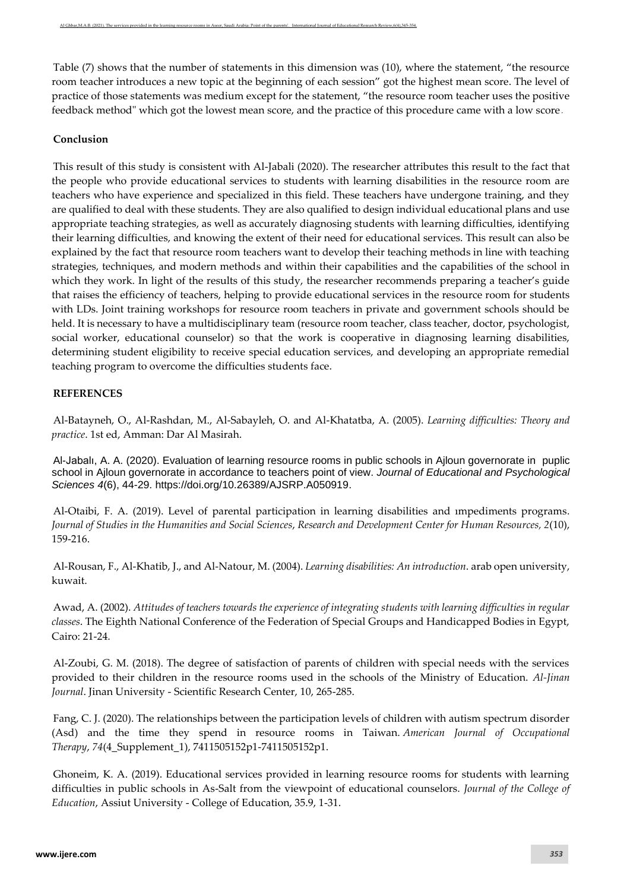Table (7) shows that the number of statements in this dimension was (10), where the statement, "the resource room teacher introduces a new topic at the beginning of each session" got the highest mean score. The level of practice of those statements was medium except for the statement, "the resource room teacher uses the positive feedback method" which got the lowest mean score, and the practice of this procedure came with a low score.

# **Conclusion**

This result of this study is consistent with Al-Jabali (2020). The researcher attributes this result to the fact that the people who provide educational services to students with learning disabilities in the resource room are teachers who have experience and specialized in this field. These teachers have undergone training, and they are qualified to deal with these students. They are also qualified to design individual educational plans and use appropriate teaching strategies, as well as accurately diagnosing students with learning difficulties, identifying their learning difficulties, and knowing the extent of their need for educational services. This result can also be explained by the fact that resource room teachers want to develop their teaching methods in line with teaching strategies, techniques, and modern methods and within their capabilities and the capabilities of the school in which they work. In light of the results of this study, the researcher recommends preparing a teacher's guide that raises the efficiency of teachers, helping to provide educational services in the resource room for students with LDs. Joint training workshops for resource room teachers in private and government schools should be held. It is necessary to have a multidisciplinary team (resource room teacher, class teacher, doctor, psychologist, social worker, educational counselor) so that the work is cooperative in diagnosing learning disabilities, determining student eligibility to receive special education services, and developing an appropriate remedial teaching program to overcome the difficulties students face.

# **REFERENCES**

Al-Batayneh, O., Al-Rashdan, M., Al-Sabayleh, O. and Al-Khatatba, A. (2005). *Learning difficulties: Theory and practice*. 1st ed, Amman: Dar Al Masirah.

Al-Jabalı, A. A. (2020). Evaluation of learning resource rooms in public schools in Ajloun governorate in puplic school in Ajloun governorate in accordance to teachers point of view. *Journal of Educational and Psychological Sciences 4*(6), 44-29. [https://doi.org/10.26389/AJSRP.A050919.](https://doi.org/10.26389/AJSRP.A050919)

Al-Otaibi, F. A. (2019). Level of parental participation in learning disabilities and ımpediments programs. *Journal of Studies in the Humanities and Social Sciences*, *Research and Development Center for Human Resources, 2*(10), 159-216.

Al-Rousan, F., Al-Khatib, J., and Al-Natour, M. (2004). *Learning disabilities: An introduction*. arab open university, kuwait.

Awad, A. (2002). *Attitudes of teachers towards the experience of integrating students with learning difficulties in regular classes*. The Eighth National Conference of the Federation of Special Groups and Handicapped Bodies in Egypt, Cairo: 21-24.

Al-Zoubi, G. M. (2018). The degree of satisfaction of parents of children with special needs with the services provided to their children in the resource rooms used in the schools of the Ministry of Education. *Al-Jinan Journal*. Jinan University - Scientific Research Center, 10, 265-285.

Fang, C. J. (2020). The relationships between the participation levels of children with autism spectrum disorder (Asd) and the time they spend in resource rooms in Taiwan. *American Journal of Occupational Therapy*, *74*(4\_Supplement\_1), 7411505152p1-7411505152p1.

Ghoneim, K. A. (2019). Educational services provided in learning resource rooms for students with learning difficulties in public schools in As-Salt from the viewpoint of educational counselors. *Journal of the College of Education*, Assiut University - College of Education, 35.9, 1-31.